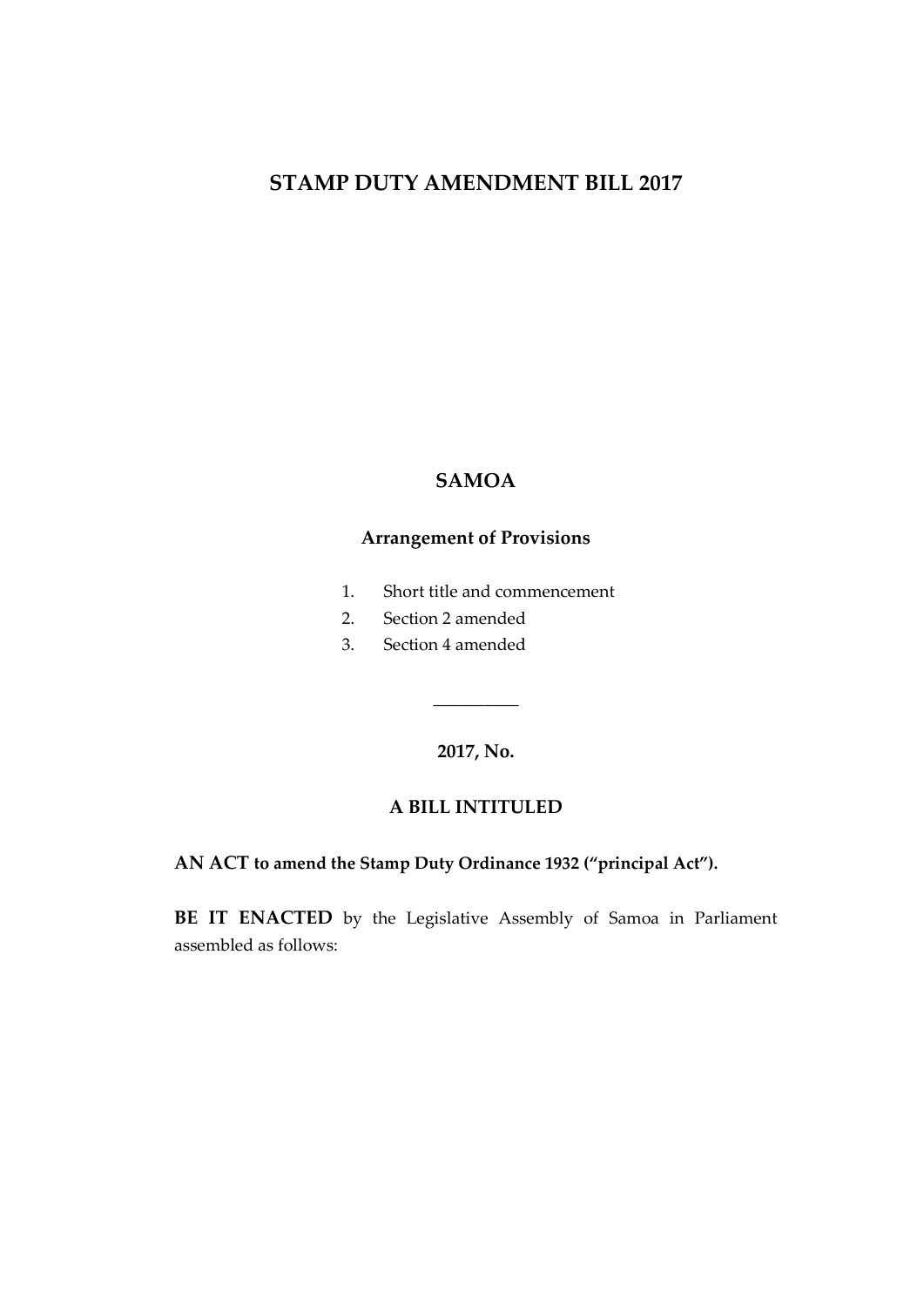# **STAMP DUTY AMENDMENT BILL 2017**

#### **SAMOA**

## **Arrangement of Provisions**

- 1. Short title and commencement
- 2. Section 2 amended
- 3. Section 4 amended

**2017, No.**

 $\overline{\phantom{a}}$  , where  $\overline{\phantom{a}}$ 

#### **A BILL INTITULED**

**AN ACT to amend the Stamp Duty Ordinance 1932 ("principal Act").**

**BE IT ENACTED** by the Legislative Assembly of Samoa in Parliament assembled as follows: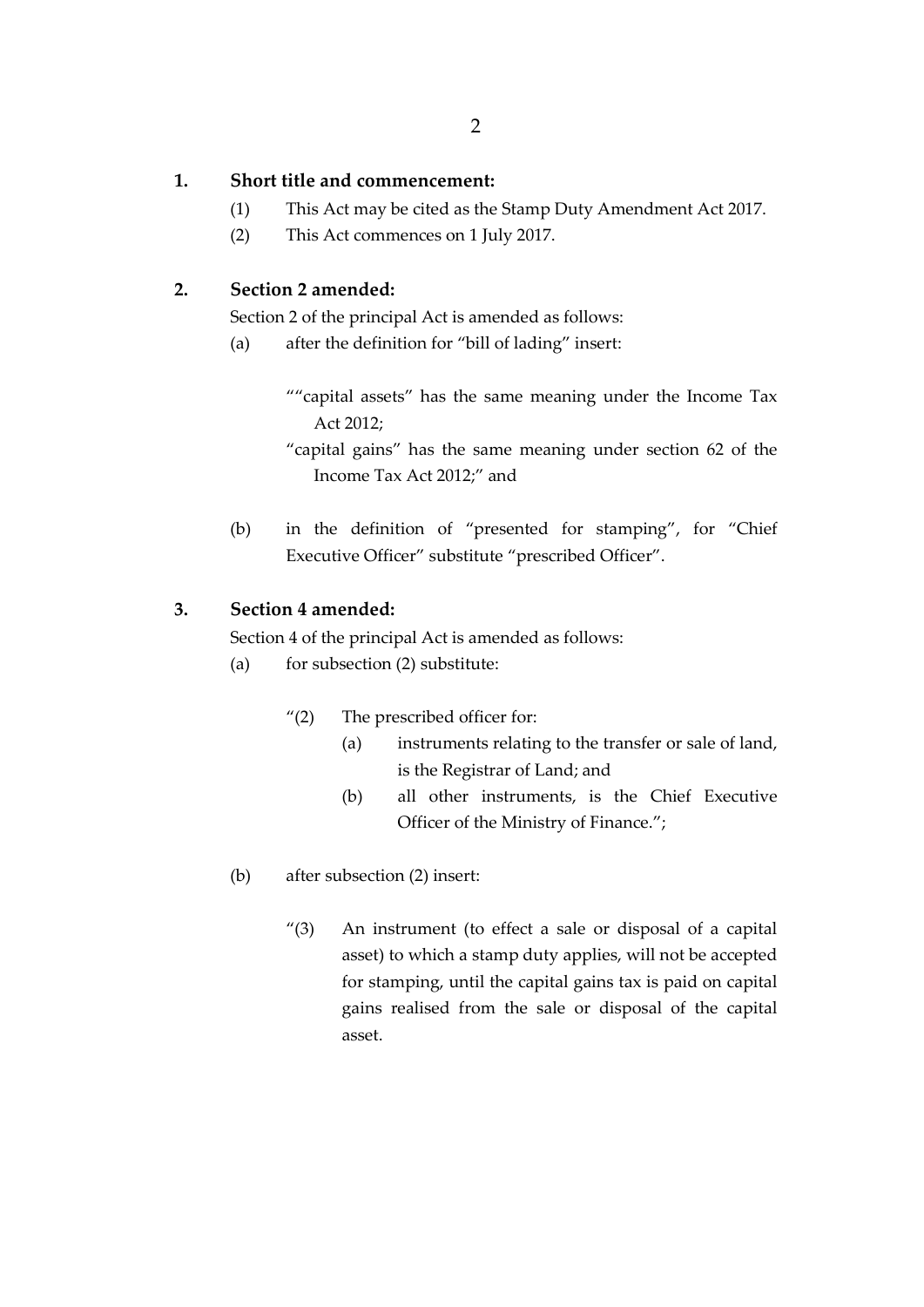## **1. Short title and commencement:**

- (1) This Act may be cited as the Stamp Duty Amendment Act 2017.
- (2) This Act commences on 1 July 2017.

# **2. Section 2 amended:**

Section 2 of the principal Act is amended as follows:

- (a) after the definition for "bill of lading" insert:
	- ""capital assets" has the same meaning under the Income Tax Act 2012;

"capital gains" has the same meaning under section 62 of the Income Tax Act 2012;" and

(b) in the definition of "presented for stamping", for "Chief Executive Officer" substitute "prescribed Officer".

# **3. Section 4 amended:**

Section 4 of the principal Act is amended as follows:

- (a) for subsection  $(2)$  substitute:
	- "(2) The prescribed officer for:
		- (a) instruments relating to the transfer or sale of land, is the Registrar of Land; and
		- (b) all other instruments, is the Chief Executive Officer of the Ministry of Finance.";
- (b) after subsection (2) insert:
	- "(3) An instrument (to effect a sale or disposal of a capital asset) to which a stamp duty applies, will not be accepted for stamping, until the capital gains tax is paid on capital gains realised from the sale or disposal of the capital asset.